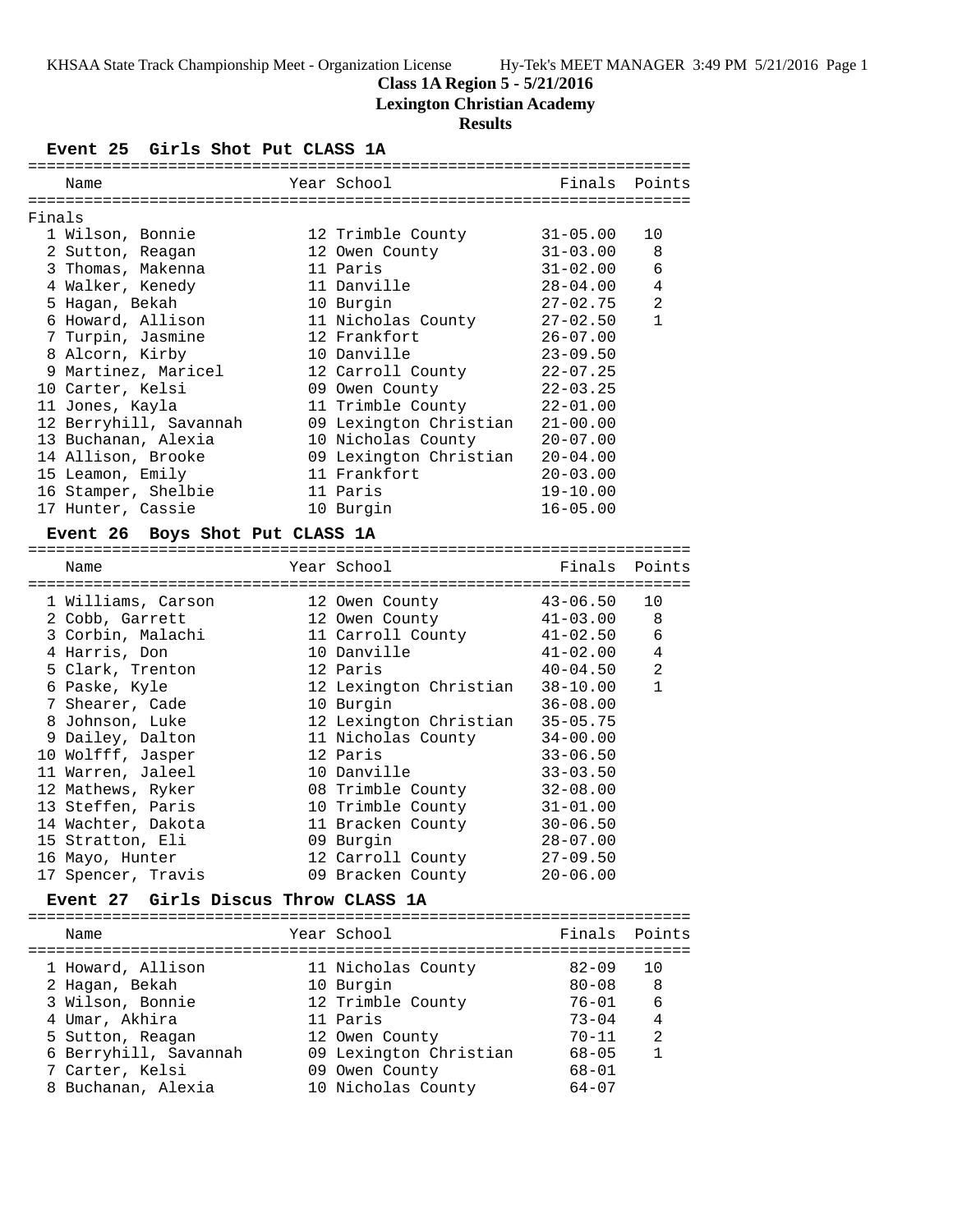## **Class 1A Region 5 - 5/21/2016**

**Lexington Christian Academy**

## **Results**

## **Event 25 Girls Shot Put CLASS 1A**

|        | Name                   | Year School            | Finals Points |                |
|--------|------------------------|------------------------|---------------|----------------|
|        |                        |                        |               |                |
| Finals |                        |                        |               |                |
|        | 1 Wilson, Bonnie       | 12 Trimble County      | $31 - 05.00$  | 10             |
|        | 2 Sutton, Reagan       | 12 Owen County         | $31 - 03.00$  | 8              |
|        | 3 Thomas, Makenna      | 11 Paris               | $31 - 02.00$  | 6              |
|        | 4 Walker, Kenedy       | 11 Danville            | $28 - 04.00$  | $\overline{4}$ |
|        | 5 Hagan, Bekah         | 10 Burgin              | $27 - 02.75$  | $\overline{2}$ |
|        | 6 Howard, Allison      | 11 Nicholas County     | $27 - 02.50$  | $\mathbf{1}$   |
|        | 7 Turpin, Jasmine      | 12 Frankfort           | $26 - 07.00$  |                |
|        | 8 Alcorn, Kirby        | 10 Danville            | $23 - 09.50$  |                |
|        | 9 Martinez, Maricel    | 12 Carroll County      | $22 - 07.25$  |                |
|        | 10 Carter, Kelsi       | 09 Owen County         | $22 - 03.25$  |                |
|        | 11 Jones, Kayla        | 11 Trimble County      | $22 - 01.00$  |                |
|        | 12 Berryhill, Savannah | 09 Lexington Christian | $21 - 00.00$  |                |
|        | 13 Buchanan, Alexia    | 10 Nicholas County     | $20 - 07.00$  |                |
|        | 14 Allison, Brooke     | 09 Lexington Christian | $20 - 04.00$  |                |
|        | 15 Leamon, Emily       | 11 Frankfort           | $20 - 03.00$  |                |
|        | 16 Stamper, Shelbie    | 11 Paris               | $19 - 10.00$  |                |
|        | 17 Hunter, Cassie      | 10 Burgin              | $16 - 05.00$  |                |

#### **Event 26 Boys Shot Put CLASS 1A**

| Name               |  | Finals                                                                                                                                                                                                                                                                                                                                  | Points         |
|--------------------|--|-----------------------------------------------------------------------------------------------------------------------------------------------------------------------------------------------------------------------------------------------------------------------------------------------------------------------------------------|----------------|
| 1 Williams, Carson |  | $43 - 06.50$                                                                                                                                                                                                                                                                                                                            | 10             |
| 2 Cobb, Garrett    |  | 41-03.00                                                                                                                                                                                                                                                                                                                                | 8              |
| 3 Corbin, Malachi  |  | $41 - 02.50$                                                                                                                                                                                                                                                                                                                            | 6              |
| 4 Harris, Don      |  | $41 - 02.00$                                                                                                                                                                                                                                                                                                                            | $\overline{4}$ |
| 5 Clark, Trenton   |  | $40 - 04.50$                                                                                                                                                                                                                                                                                                                            | 2              |
| 6 Paske, Kyle      |  | $38 - 10.00$                                                                                                                                                                                                                                                                                                                            | $\mathbf{1}$   |
| 7 Shearer, Cade    |  | $36 - 08.00$                                                                                                                                                                                                                                                                                                                            |                |
| 8 Johnson, Luke    |  | $35 - 05.75$                                                                                                                                                                                                                                                                                                                            |                |
| 9 Dailey, Dalton   |  | $34 - 00.00$                                                                                                                                                                                                                                                                                                                            |                |
| 10 Wolfff, Jasper  |  | $33 - 06.50$                                                                                                                                                                                                                                                                                                                            |                |
| 11 Warren, Jaleel  |  | $33 - 03.50$                                                                                                                                                                                                                                                                                                                            |                |
| 12 Mathews, Ryker  |  | $32 - 08.00$                                                                                                                                                                                                                                                                                                                            |                |
| 13 Steffen, Paris  |  | $31 - 01.00$                                                                                                                                                                                                                                                                                                                            |                |
| 14 Wachter, Dakota |  | $30 - 06.50$                                                                                                                                                                                                                                                                                                                            |                |
| 15 Stratton, Eli   |  | $28 - 07.00$                                                                                                                                                                                                                                                                                                                            |                |
| 16 Mayo, Hunter    |  | $27 - 09.50$                                                                                                                                                                                                                                                                                                                            |                |
| 17 Spencer, Travis |  | $20 - 06.00$                                                                                                                                                                                                                                                                                                                            |                |
|                    |  | Year School<br>12 Owen County<br>12 Owen County<br>11 Carroll County<br>10 Danville<br>12 Paris<br>12 Lexington Christian<br>10 Burgin<br>12 Lexington Christian<br>11 Nicholas County<br>12 Paris<br>10 Danville<br>08 Trimble County<br>10 Trimble County<br>11 Bracken County<br>09 Burgin<br>12 Carroll County<br>09 Bracken County |                |

#### **Event 27 Girls Discus Throw CLASS 1A**

======================================================================= Name Year School Finals Points =======================================================================

| 1 Howard, Allison     | 11 Nicholas County     | $82 - 09$ | 10 |
|-----------------------|------------------------|-----------|----|
| 2 Hagan, Bekah        | 10 Burgin              | $80 - 08$ | -8 |
| 3 Wilson, Bonnie      | 12 Trimble County      | $76 - 01$ | 6  |
| 4 Umar, Akhira        | 11 Paris               | $73 - 04$ | 4  |
| 5 Sutton, Reagan      | 12 Owen County         | $70 - 11$ | 2  |
| 6 Berryhill, Savannah | 09 Lexington Christian | $68 - 05$ |    |
| 7 Carter, Kelsi       | 09 Owen County         | $68 - 01$ |    |
| 8 Buchanan, Alexia    | 10 Nicholas County     | $64 - 07$ |    |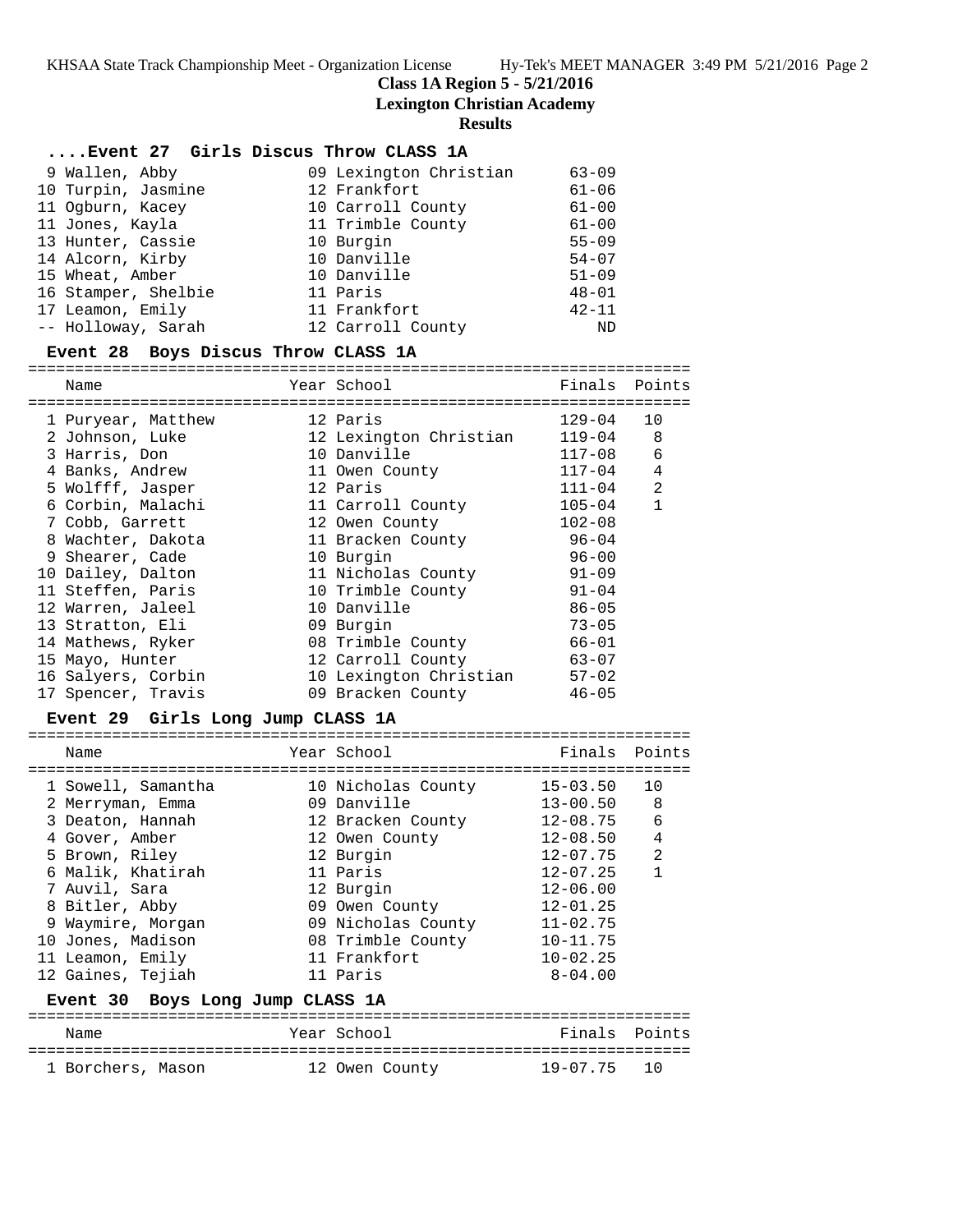**Class 1A Region 5 - 5/21/2016**

**Lexington Christian Academy**

**Results**

## **....Event 27 Girls Discus Throw CLASS 1A**

| 9 Wallen, Abby      | 09 Lexington Christian | $63 - 09$ |
|---------------------|------------------------|-----------|
| 10 Turpin, Jasmine  | 12 Frankfort           | $61 - 06$ |
| 11 Ogburn, Kacey    | 10 Carroll County      | $61 - 00$ |
| 11 Jones, Kayla     | 11 Trimble County      | $61 - 00$ |
| 13 Hunter, Cassie   | 10 Burgin              | $55 - 09$ |
| 14 Alcorn, Kirby    | 10 Danville            | $54 - 07$ |
| 15 Wheat, Amber     | 10 Danville            | $51 - 09$ |
| 16 Stamper, Shelbie | 11 Paris               | $48 - 01$ |
| 17 Leamon, Emily    | 11 Frankfort           | $42 - 11$ |
| -- Holloway, Sarah  | 12 Carroll County      | ND        |

## **Event 28 Boys Discus Throw CLASS 1A**

=======================================================================

| Name               | Year School            | Finals     | Points       |
|--------------------|------------------------|------------|--------------|
| 1 Puryear, Matthew | 12 Paris               | 129-04     | 10           |
| 2 Johnson, Luke    | 12 Lexington Christian | $119 - 04$ | 8            |
| 3 Harris, Don      | 10 Danville            | 117-08     | 6            |
| 4 Banks, Andrew    | 11 Owen County         | 117-04     | 4            |
| 5 Wolfff, Jasper   | 12 Paris               | $111 - 04$ | 2            |
| 6 Corbin, Malachi  | 11 Carroll County      | $105 - 04$ | $\mathbf{1}$ |
| 7 Cobb, Garrett    | 12 Owen County         | $102 - 08$ |              |
| 8 Wachter, Dakota  | 11 Bracken County      | $96 - 04$  |              |
| 9 Shearer, Cade    | 10 Burgin              | $96 - 00$  |              |
| 10 Dailey, Dalton  | 11 Nicholas County     | $91 - 09$  |              |
| 11 Steffen, Paris  | 10 Trimble County      | $91 - 04$  |              |
| 12 Warren, Jaleel  | 10 Danville            | $86 - 05$  |              |
| 13 Stratton, Eli   | 09 Burgin              | $73 - 05$  |              |
| 14 Mathews, Ryker  | 08 Trimble County      | $66 - 01$  |              |
| 15 Mayo, Hunter    | 12 Carroll County      | $63 - 07$  |              |
| 16 Salyers, Corbin | 10 Lexington Christian | $57 - 02$  |              |
| 17 Spencer, Travis | 09 Bracken County      | $46 - 05$  |              |

#### **Event 29 Girls Long Jump CLASS 1A**

| Name                             | Year School        | Finals Points |                |
|----------------------------------|--------------------|---------------|----------------|
| 1 Sowell, Samantha               | 10 Nicholas County | 15-03.50      | 10             |
| 2 Merryman, Emma                 | 09 Danville        | 13-00.50      | 8              |
| 3 Deaton, Hannah                 | 12 Bracken County  | 12-08.75      | 6              |
| 4 Gover, Amber                   | 12 Owen County     | 12-08.50      | 4              |
| 5 Brown, Riley                   | 12 Burgin          | $12 - 07.75$  | $\mathfrak{D}$ |
| 6 Malik, Khatirah                | 11 Paris           | $12 - 07.25$  | 1              |
| 7 Auvil, Sara                    | 12 Burgin          | $12 - 06.00$  |                |
| 8 Bitler, Abby                   | 09 Owen County     | $12 - 01.25$  |                |
| 9 Waymire, Morgan                | 09 Nicholas County | $11 - 02.75$  |                |
| 10 Jones, Madison                | 08 Trimble County  | $10 - 11.75$  |                |
| 11 Leamon, Emily                 | 11 Frankfort       | $10 - 02.25$  |                |
| 12 Gaines, Tejiah                | 11 Paris           | 8-04.00       |                |
| Event 30 Boys Long Jump CLASS 1A |                    |               |                |
| Name                             | Year School        | Finals        | Points         |
| 1 Borchers, Mason                | 12 Owen County     | 19-07.75      | 1 Q            |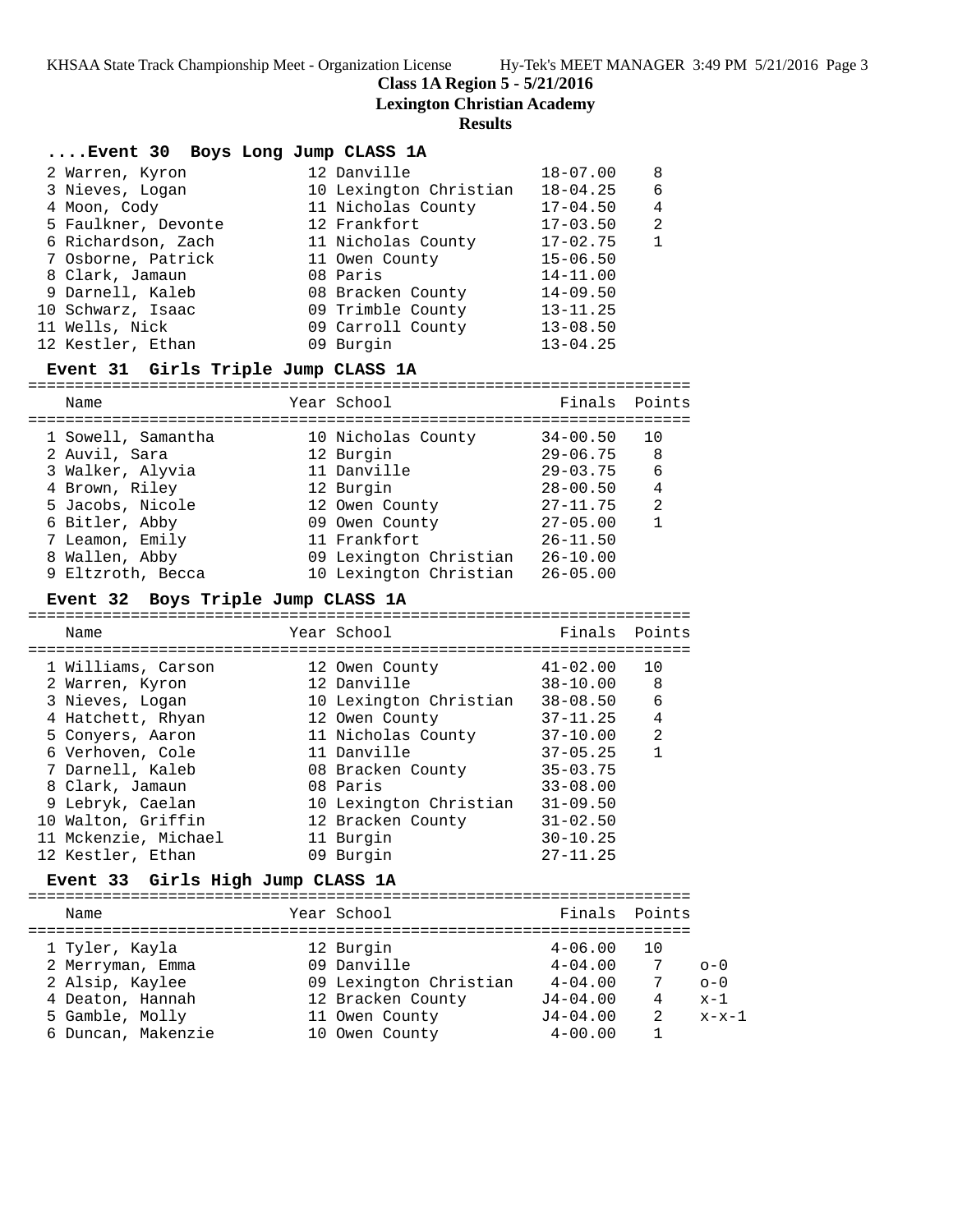**Class 1A Region 5 - 5/21/2016**

=======================================================================

**Lexington Christian Academy**

## **Results**

| Event 30 Boys Long Jump CLASS 1A |                        |              |                |
|----------------------------------|------------------------|--------------|----------------|
| 2 Warren, Kyron                  | 12 Danville            | $18 - 07.00$ | 8              |
| 3 Nieves, Logan                  | 10 Lexington Christian | $18 - 04.25$ | 6              |
| 4 Moon, Cody                     | 11 Nicholas County     | $17 - 04.50$ | $\overline{4}$ |
| 5 Faulkner, Devonte              | 12 Frankfort           | $17 - 03.50$ | 2              |
| 6 Richardson, Zach               | 11 Nicholas County     | $17 - 02.75$ | $\mathbf{1}$   |
| 7 Osborne, Patrick               | 11 Owen County         | $15 - 06.50$ |                |
| 8 Clark, Jamaun                  | 08 Paris               | $14 - 11.00$ |                |
| 9 Darnell, Kaleb                 | 08 Bracken County      | $14 - 09.50$ |                |
| 10 Schwarz, Isaac                | 09 Trimble County      | $13 - 11.25$ |                |
| 11 Wells, Nick                   | 09 Carroll County      | $13 - 08.50$ |                |
| 12 Kestler, Ethan                | 09 Burgin              | $13 - 04.25$ |                |
|                                  |                        |              |                |

## **Event 31 Girls Triple Jump CLASS 1A**

| Name               | Year School            |              | Finals Points  |
|--------------------|------------------------|--------------|----------------|
| 1 Sowell, Samantha | 10 Nicholas County     | $34 - 00.50$ |                |
| 2 Auvil, Sara      | 12 Burgin              | $29 - 06.75$ | - 8            |
| 3 Walker, Alyvia   | 11 Danville            | $29 - 03.75$ | 6              |
| 4 Brown, Riley     | 12 Burgin              | $28 - 00.50$ | 4              |
| 5 Jacobs, Nicole   | 12 Owen County         | $27 - 11.75$ | $\overline{2}$ |
| 6 Bitler, Abby     | 09 Owen County         | $27 - 05.00$ |                |
| 7 Leamon, Emily    | 11 Frankfort           | $26 - 11.50$ |                |
| 8 Wallen, Abby     | 09 Lexington Christian | $26 - 10.00$ |                |
| 9 Eltzroth, Becca  | 10 Lexington Christian | $26 - 05.00$ |                |

## **Event 32 Boys Triple Jump CLASS 1A**

| Name                 | Year School            | Finals Points |                |
|----------------------|------------------------|---------------|----------------|
| 1 Williams, Carson   | 12 Owen County         | $41 - 02.00$  | 1 O            |
| 2 Warren, Kyron      | 12 Danville            | $38 - 10.00$  | -8             |
| 3 Nieves, Logan      | 10 Lexington Christian | $38 - 08.50$  | 6              |
| 4 Hatchett, Rhyan    | 12 Owen County         | $37 - 11.25$  | $\overline{4}$ |
| 5 Conyers, Aaron     | 11 Nicholas County     | $37 - 10.00$  | $\mathfrak{D}$ |
| 6 Verhoven, Cole     | 11 Danville            | $37 - 05.25$  |                |
| 7 Darnell, Kaleb     | 08 Bracken County      | $35 - 03.75$  |                |
| 8 Clark, Jamaun      | 08 Paris               | $33 - 08.00$  |                |
| 9 Lebryk, Caelan     | 10 Lexington Christian | $31 - 09.50$  |                |
| 10 Walton, Griffin   | 12 Bracken County      | $31 - 02.50$  |                |
| 11 Mckenzie, Michael | 11 Burgin              | $30 - 10.25$  |                |
| 12 Kestler, Ethan    | 09 Burgin              | $27 - 11.25$  |                |
|                      |                        |               |                |

## **Event 33 Girls High Jump CLASS 1A**

| Name               | Year School            | Finals Points |    |         |
|--------------------|------------------------|---------------|----|---------|
| 1 Tyler, Kayla     | 12 Burgin              | $4 - 06.00$   | 10 |         |
| 2 Merryman, Emma   | 09 Danville            | $4 - 04.00$   | 7  | $0 - 0$ |
| 2 Alsip, Kaylee    | 09 Lexington Christian | $4 - 04.00$   | 7  | $O - 0$ |
| 4 Deaton, Hannah   | 12 Bracken County      | $J4 - 04.00$  | 4  | $x-1$   |
| 5 Gamble, Molly    | 11 Owen County         | $J4 - 04.00$  | 2  | $x-x-1$ |
| 6 Duncan, Makenzie | 10 Owen County         | $4 - 00.00$   |    |         |
|                    |                        |               |    |         |